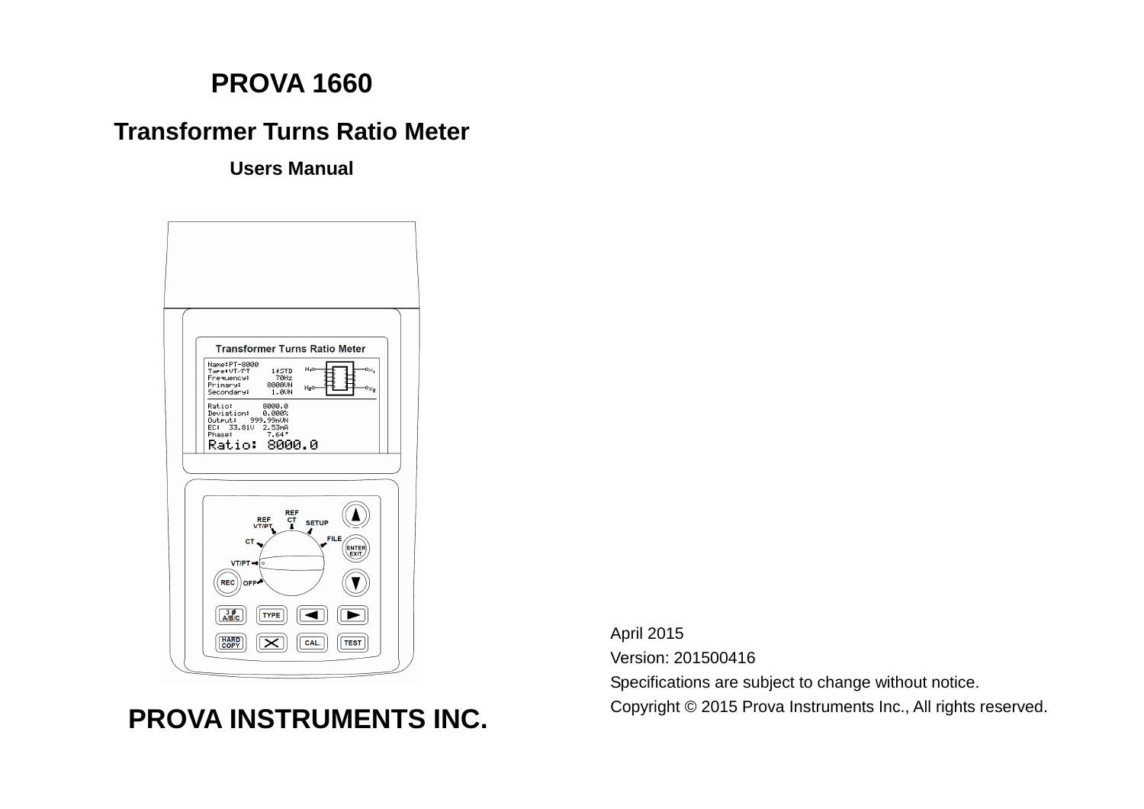# **PROVA 1660**

# **Transformer Turns Ratio Meter**

**Users Manual** 



# **PROVA INSTRUMENTS INC.**

April 2015 Version: 201500416 Specifications are subject to change without notice. Copyright © 2015 Prova Instruments Inc., All rights reserved.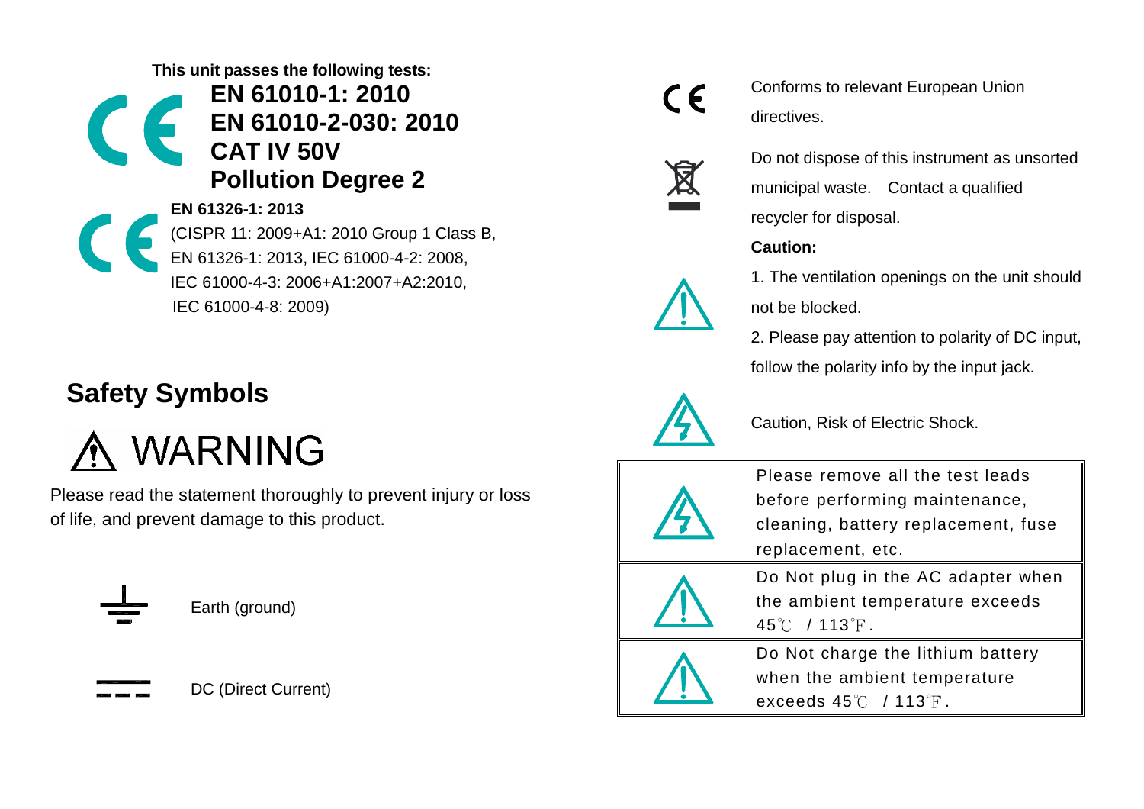**This unit passes the following tests:**

**EN 61010-1: 2010 EN 61010-2-030: 2010 CAT IV 50V Pollution Degree 2**

**EN 61326-1: 2013** (CISPR 11: 2009+A1: 2010 Group 1 Class B, EN 61326-1: 2013, IEC 61000-4-2: 2008, IEC 61000-4-3: 2006+A1:2007+A2:2010, IEC 61000-4-8: 2009)

# **Safety Symbols**

A WARNING

Please read the statement thoroughly to prevent injury or loss of life, and prevent damage to this product.



Earth (ground)

DC (Direct Current)



Conforms to relevant European Union directives.



Do not dispose of this instrument as unsorted municipal waste. Contact a qualified recycler for disposal.

# **Caution:**

1. The ventilation openings on the unit should not be blocked.

2. Please pay attention to polarity of DC input, follow the polarity info by the input jack.



Caution, Risk of Electric Shock.



Please remove all the test leads before performing maintenance, cleaning, battery replacement, fuse replacement, etc.



Do Not plug in the AC adapter when the ambient temperature exceeds 45℃ / 113℉.



Do Not charge the lithium battery when the ambient temperature exceeds 45℃ / 113°F.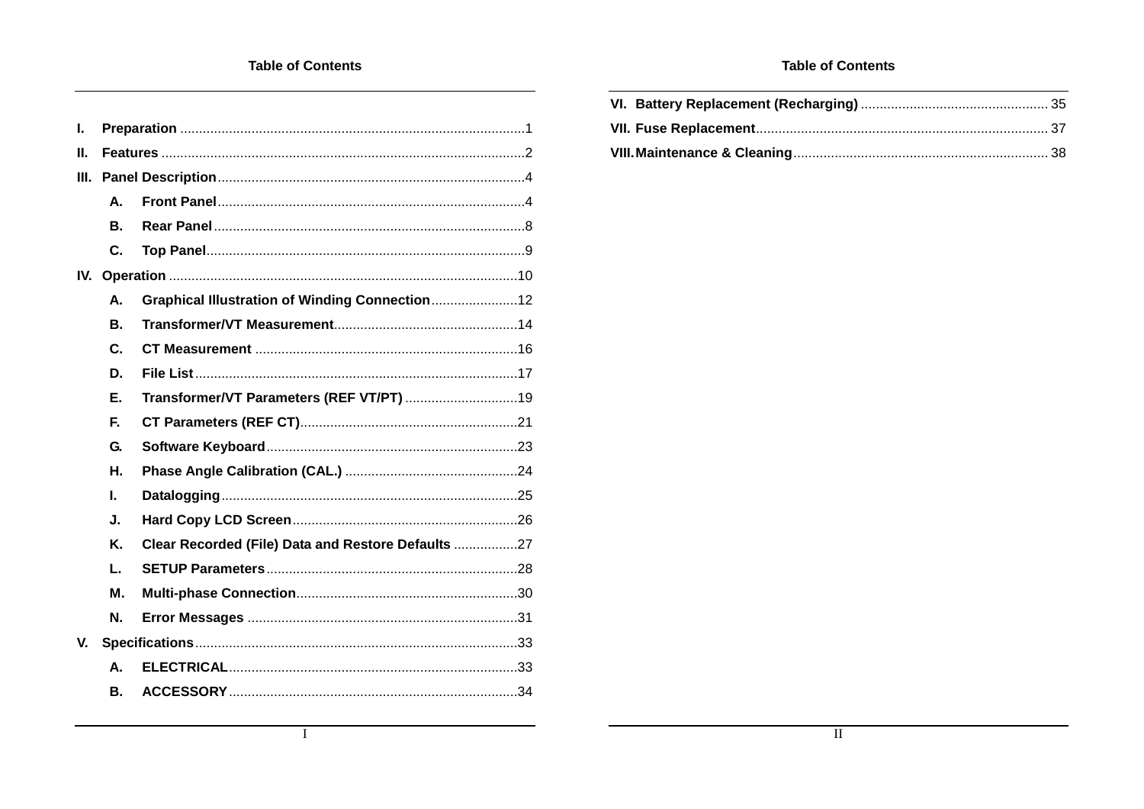| $\mathbf{L}$ |              |                                                    |  |
|--------------|--------------|----------------------------------------------------|--|
| Ш.           |              |                                                    |  |
| III.         |              |                                                    |  |
|              | А.           |                                                    |  |
|              | Β.           |                                                    |  |
|              | C.           |                                                    |  |
|              |              |                                                    |  |
|              | А.           | Graphical Illustration of Winding Connection12     |  |
|              | <b>B.</b>    |                                                    |  |
|              | $\mathbf{C}$ |                                                    |  |
|              | D.           |                                                    |  |
|              | Ε.           |                                                    |  |
|              | F.           |                                                    |  |
|              | G.           |                                                    |  |
|              | Η.           |                                                    |  |
|              | I.           |                                                    |  |
|              | J.           |                                                    |  |
|              | K.           | Clear Recorded (File) Data and Restore Defaults 27 |  |
|              | L.           |                                                    |  |
|              | М.           |                                                    |  |
|              | N.           |                                                    |  |
| V.           |              |                                                    |  |
|              | А.           |                                                    |  |
|              | В.           |                                                    |  |

#### **Table of Contents**

 $\overline{I}$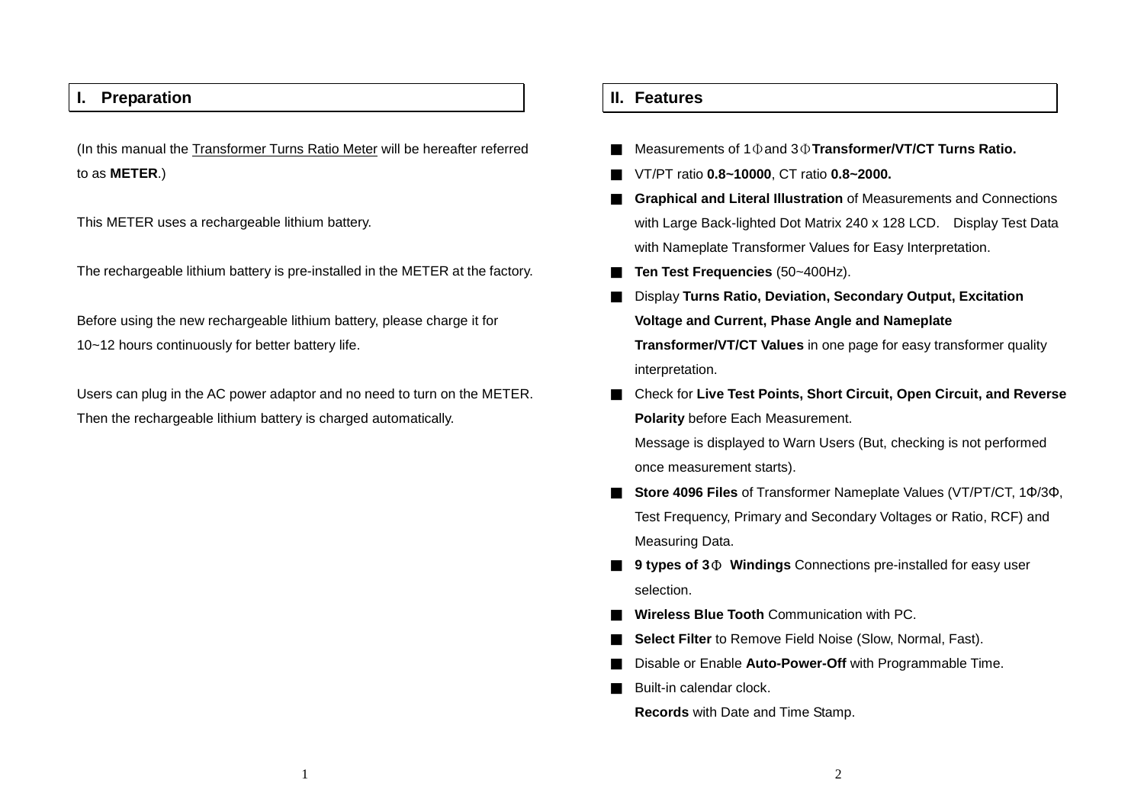# **I. Preparation**

(In this manual the Transformer Turns Ratio Meter will be hereafter referred to as **METER**.)

This METER uses a rechargeable lithium battery.

The rechargeable lithium battery is pre-installed in the METER at the factory.

Before using the new rechargeable lithium battery, please charge it for 10~12 hours continuously for better battery life.

Users can plug in the AC power adaptor and no need to turn on the METER. Then the rechargeable lithium battery is charged automatically.

## **II. Features**

- Measurements of 1Φand 3Φ**Transformer/VT/CT Turns Ratio.**
- VT/PT ratio **0.8~10000**, CT ratio **0.8~2000.**
- **Graphical and Literal Illustration** of Measurements and Connections with Large Back-lighted Dot Matrix 240 x 128 LCD. Display Test Data with Nameplate Transformer Values for Easy Interpretation.
- **Ten Test Frequencies** (50~400Hz).
- **Display Turns Ratio, Deviation, Secondary Output, Excitation Voltage and Current, Phase Angle and Nameplate Transformer/VT/CT Values** in one page for easy transformer quality interpretation.
- Check for Live Test Points, Short Circuit, Open Circuit, and Reverse **Polarity** before Each Measurement.

Message is displayed to Warn Users (But, checking is not performed once measurement starts).

- **Store 4096 Files** of Transformer Nameplate Values (VT/PT/CT, 1Φ/3Φ, Test Frequency, Primary and Secondary Voltages or Ratio, RCF) and Measuring Data.
- 9 types of 3 $\Phi$  Windings Connections pre-installed for easy user selection.
- **Wireless Blue Tooth** Communication with PC.
- **Select Filter** to Remove Field Noise (Slow, Normal, Fast).
- Disable or Enable Auto-Power-Off with Programmable Time.

Built-in calendar clock.

**Records** with Date and Time Stamp.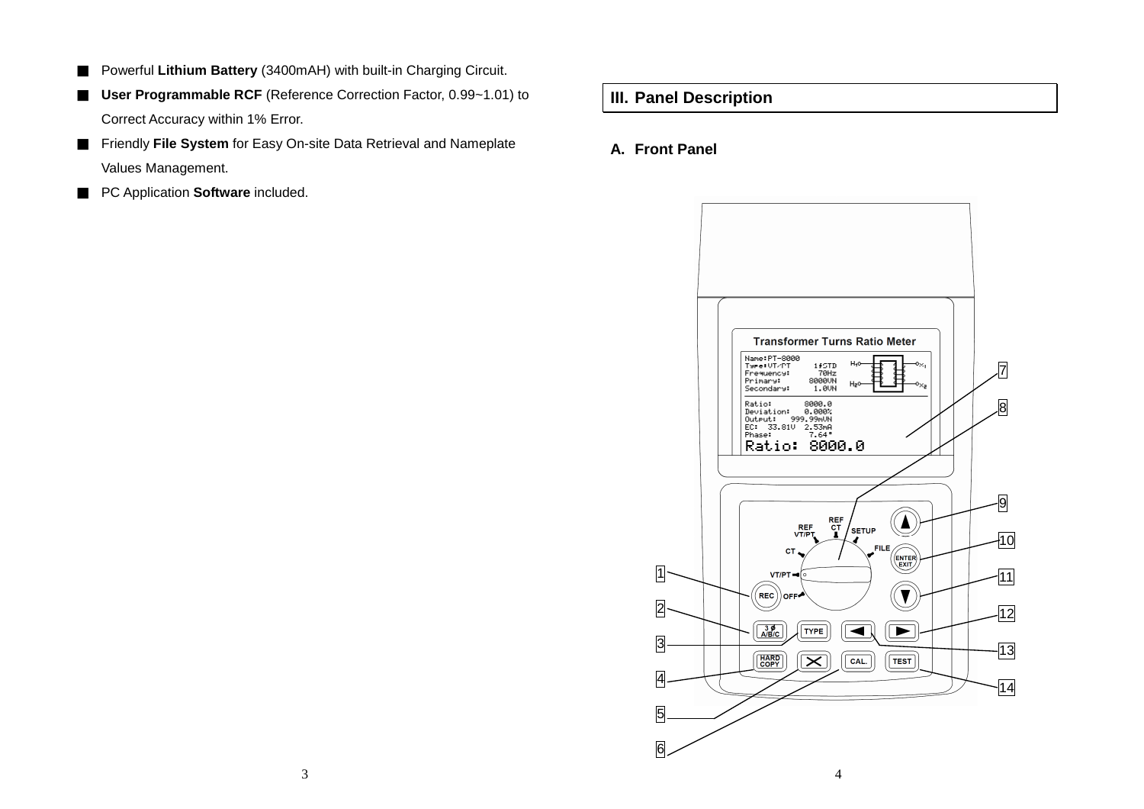- Powerful Lithium Battery (3400mAH) with built-in Charging Circuit.
- **User Programmable RCF** (Reference Correction Factor, 0.99∼1.01) to Correct Accuracy within 1% Error.
- Friendly File System for Easy On-site Data Retrieval and Nameplate Values Management.
- PC Application **Software** included.

**III. Panel Description**

# **A. Front Panel**

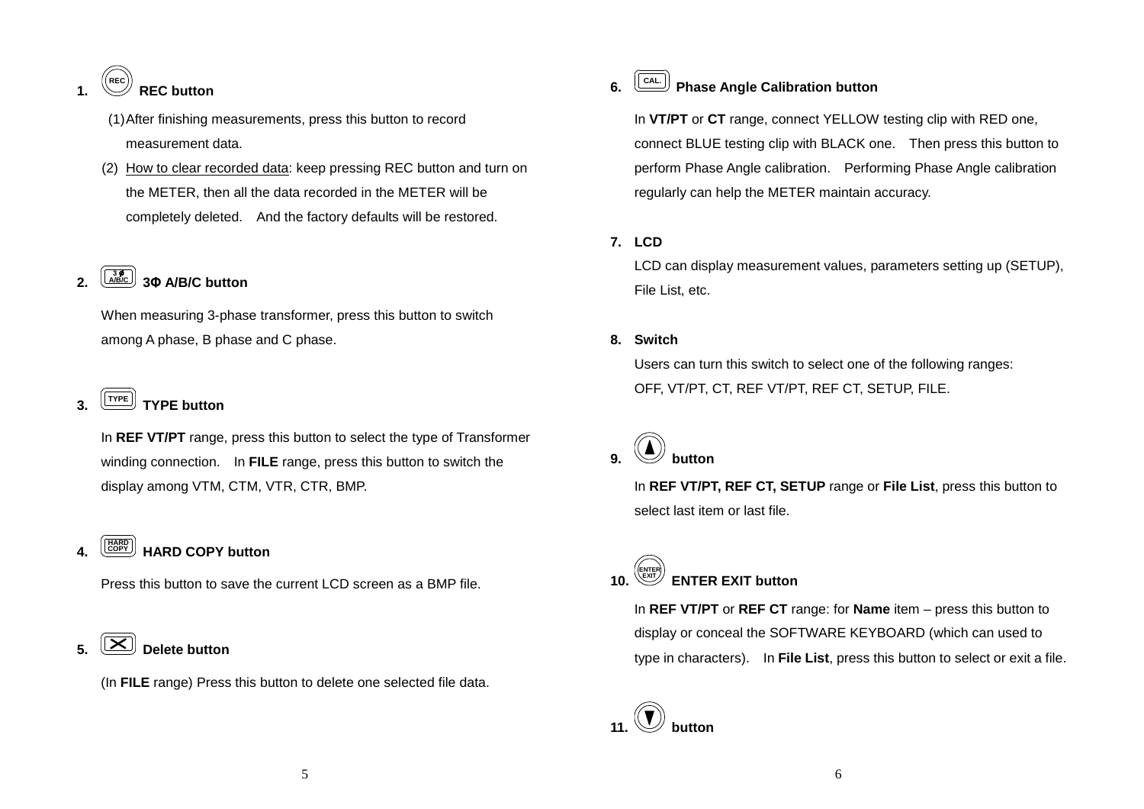#### **1. REC REC button**

 (1) After finishing measurements, press this button to record measurement data.

(2) How to clear recorded data: keep pressing REC button and turn on the METER, then all the data recorded in the METER will be completely deleted. And the factory defaults will be restored.

# **2. A/B/C3 3Φ A/B/C button**

When measuring 3-phase transformer, press this button to switch among A phase, B phase and C phase.

# **3. TYPE TYPE button**

In **REF VT/PT** range, press this button to select the type of Transformer winding connection. In **FILE** range, press this button to switch the display among VTM, CTM, VTR, CTR, BMP.

#### **4. COPY HARD HARD COPY button**

Press this button to save the current LCD screen as a BMP file.

# $\left[\left[\mathbf{X}\right]\right]$  Delete button

(In **FILE** range) Press this button to delete one selected file data.

# **6. CAL. Phase Angle Calibration button**

In **VT/PT** or **CT** range, connect YELLOW testing clip with RED one, connect BLUE testing clip with BLACK one. Then press this button to perform Phase Angle calibration. Performing Phase Angle calibration regularly can help the METER maintain accuracy.

# **7. LCD**

LCD can display measurement values, parameters setting up (SETUP), File List, etc.

# **8. Switch**

Users can turn this switch to select one of the following ranges: OFF, VT/PT, CT, REF VT/PT, REF CT, SETUP, FILE.

# **9. button**

In **REF VT/PT, REF CT, SETUP** range or **File List**, press this button to select last item or last file.

**10. ENTER EXIT ENTER EXIT button** 

> In **REF VT/PT** or **REF CT** range: for **Name** item – press this button to display or conceal the SOFTWARE KEYBOARD (which can used to type in characters). In **File List**, press this button to select or exit a file.

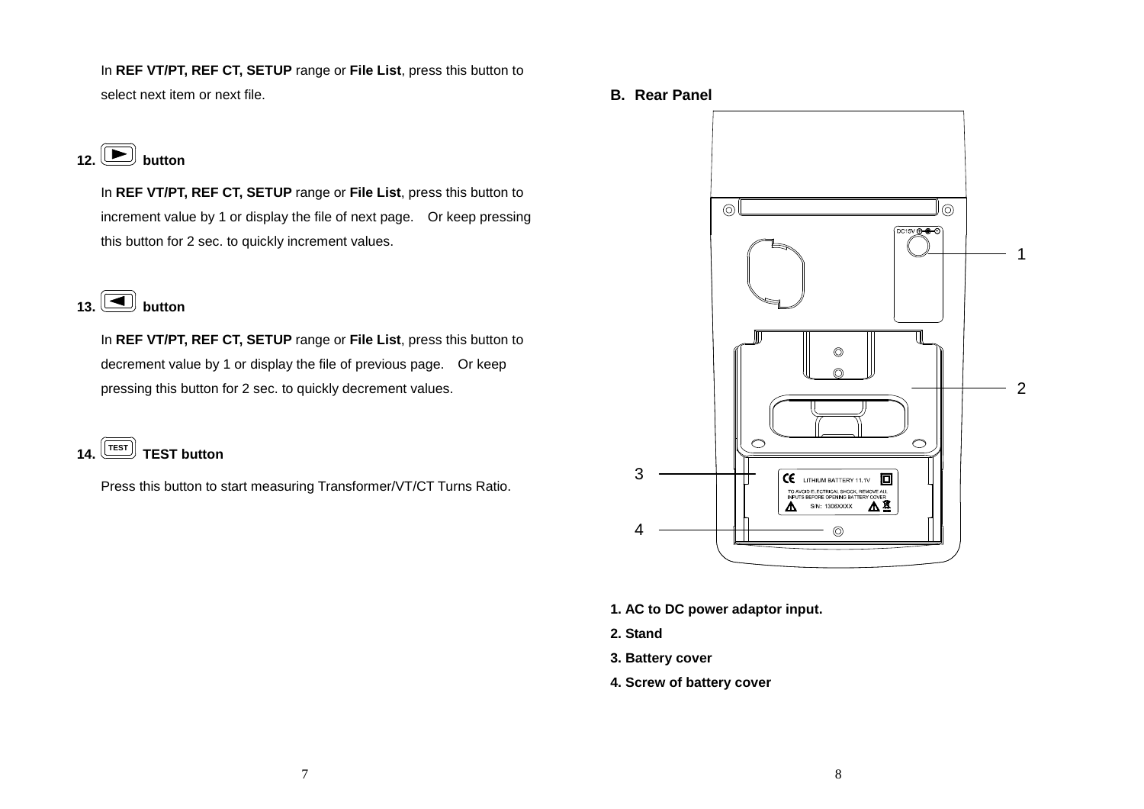In **REF VT/PT, REF CT, SETUP** range or **File List**, press this button to select next item or next file.

**12.**  $\boxed{\blacktriangleright}$  button

In **REF VT/PT, REF CT, SETUP** range or **File List**, press this button to increment value by 1 or display the file of next page. Or keep pressing this button for 2 sec. to quickly increment values.

# $\overline{\mathbf{13}}$ .  $\overline{)}$  button

In **REF VT/PT, REF CT, SETUP** range or **File List**, press this button to decrement value by 1 or display the file of previous page. Or keep pressing this button for 2 sec. to quickly decrement values.

**14. TEST TEST button** 

Press this button to start measuring Transformer/VT/CT Turns Ratio.

**B. Rear Panel** 



- **1. AC to DC power adaptor input.**
- **2. Stand**
- **3. Battery cover**
- **4. Screw of battery cover**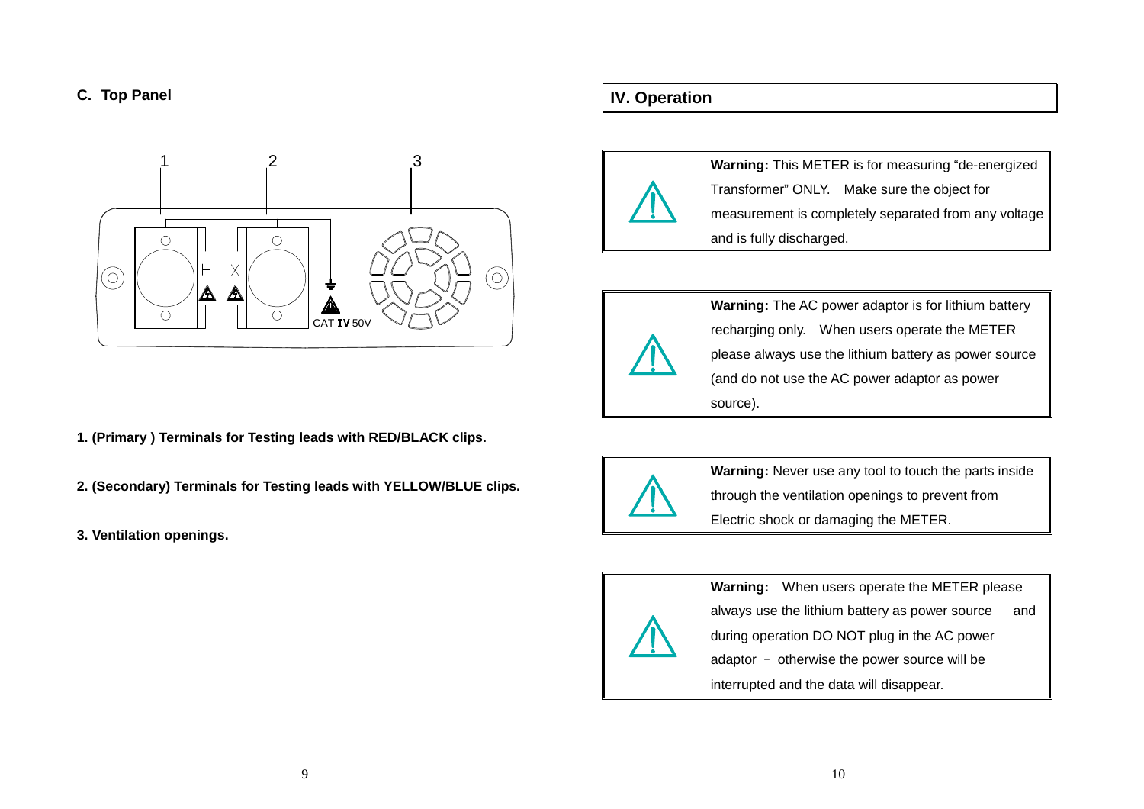## **C. Top Panel**



- **1. (Primary ) Terminals for Testing leads with RED/BLACK clips.**
- **2. (Secondary) Terminals for Testing leads with YELLOW/BLUE clips.**
- **3. Ventilation openings.**

# **IV. Operation**



**Warning:** This METER is for measuring "de-energized Transformer" ONLY. Make sure the object for measurement is completely separated from any voltage and is fully discharged.



**Warning:** The AC power adaptor is for lithium battery recharging only. When users operate the METER please always use the lithium battery as power source (and do not use the AC power adaptor as power source).



**Warning:** Never use any tool to touch the parts inside through the ventilation openings to prevent from Electric shock or damaging the METER.



**Warning:** When users operate the METER please always use the lithium battery as power source – and during operation DO NOT plug in the AC power adaptor – otherwise the power source will be interrupted and the data will disappear.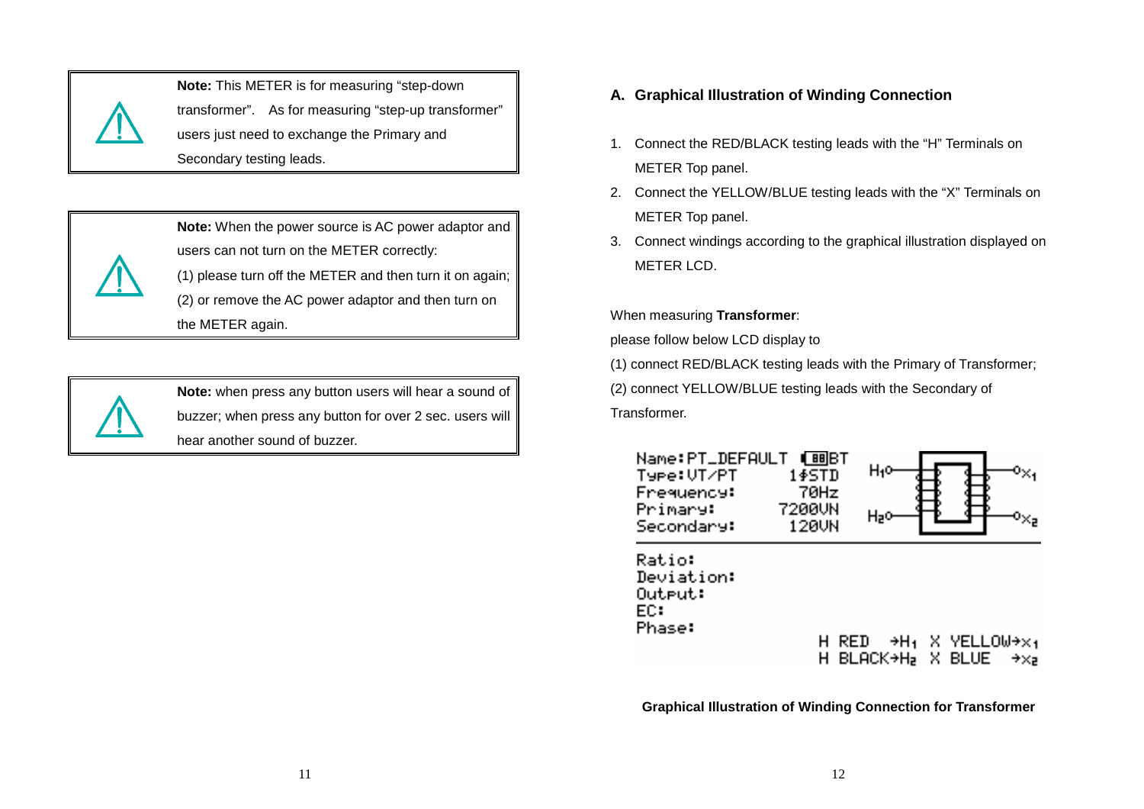

**Note:** This METER is for measuring "step-down transformer". As for measuring "step-up transformer" users just need to exchange the Primary and Secondary testing leads.



**Note:** When the power source is AC power adaptor and users can not turn on the METER correctly: (1) please turn off the METER and then turn it on again; (2) or remove the AC power adaptor and then turn onthe METER again.



**Note:** when press any button users will hear a sound of buzzer; when press any button for over 2 sec. users will hear another sound of buzzer.

# **A. Graphical Illustration of Winding Connection**

- 1. Connect the RED/BLACK testing leads with the "H" Terminals on METER Top panel.
- 2. Connect the YELLOW/BLUE testing leads with the "X" Terminals on METER Top panel.
- 3. Connect windings according to the graphical illustration displayed on METER LCD.

When measuring **Transformer**:

please follow below LCD display to

(1) connect RED/BLACK testing leads with the Primary of Transformer;

(2) connect YELLOW/BLUE testing leads with the Secondary of

Transformer.

| Name:PT_DEFAULT<br>Type:UT/PT | 88IB.T<br>145TN | Hı¤ |  |
|-------------------------------|-----------------|-----|--|
| Frequency:                    | 70Hz            |     |  |
| Primary:<br>Secondary:        | 7200UN<br>120UN | ゴコじ |  |

Ratio: Deviation: Output: EC: Phase:

H RED  $\rightarrow$ H<sub>1</sub> X YELLOW $\rightarrow$ x<sub>1</sub> H BLACK→H, X BLUE I  $\rightarrow \times$ <sub>2</sub>

**Graphical Illustration of Winding Connection for Transformer**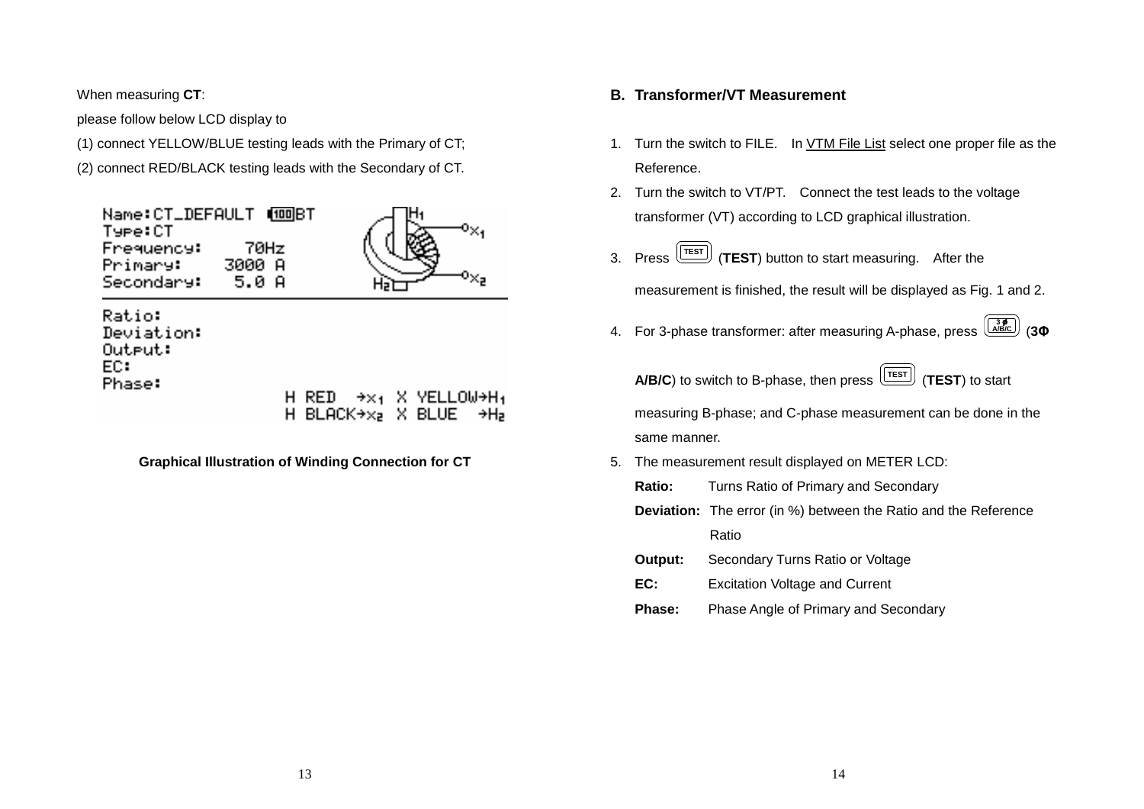When measuring **CT**:

Phase:

please follow below LCD display to

(1) connect YELLOW/BLUE testing leads with the Primary of CT;

(2) connect RED/BLACK testing leads with the Secondary of CT.



H RED I  $\rightarrow$  $\times$ <sub>1</sub>  $\times$  YELLOW→H<sub>1</sub> H BLACK $+x_2$  X BLUE →H∍

**Graphical Illustration of Winding Connection for CT**

# **B. Transformer/VT Measurement**

- 1. Turn the switch to FILE. In VTM File List select one proper file as the Reference.
- 2. Turn the switch to VT/PT. Connect the test leads to the voltage transformer (VT) according to LCD graphical illustration.
- 3. Press **TEST** (**TEST**) button to start measuring. After the

measurement is finished, the result will be displayed as Fig. 1 and 2.

4. For 3-phase transformer: after measuring A-phase, press **A/B/C 3** (**3Φ**

**A/B/C**) to switch to B-phase, then press  $\boxed{\text{TEST}}$  (TEST) to start

measuring B-phase; and C-phase measurement can be done in the same manner.

- 5. The measurement result displayed on METER LCD:
	- **Ratio:** Turns Ratio of Primary and Secondary

**Deviation:** The error (in %) between the Ratio and the Reference Ratio

- **Output:** Secondary Turns Ratio or Voltage
- **EC:** Excitation Voltage and Current
- **Phase:** Phase Angle of Primary and Secondary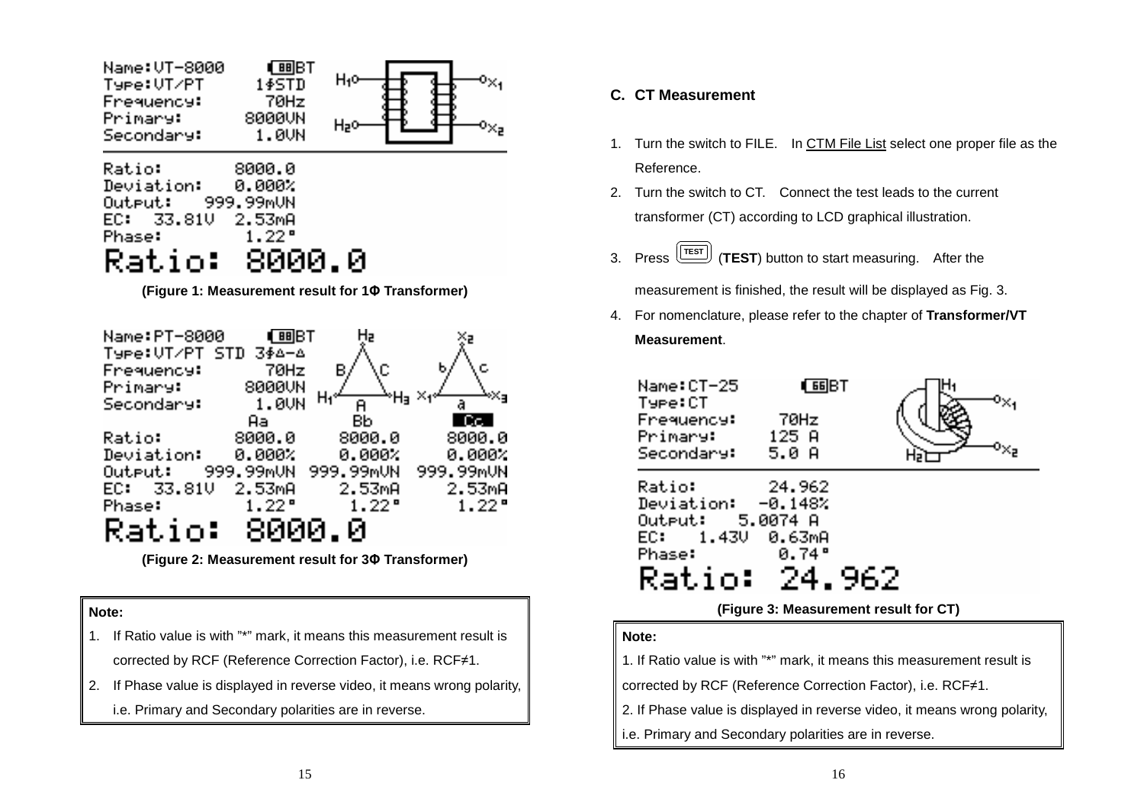

**(Figure 1: Measurement result for 1Φ Transformer)** 



**(Figure 2: Measurement result for 3Φ Transformer)** 

#### **Note:**

- 1. If Ratio value is with "\*" mark, it means this measurement result is corrected by RCF (Reference Correction Factor), i.e. RCF≠1.
- 2. If Phase value is displayed in reverse video, it means wrong polarity, i.e. Primary and Secondary polarities are in reverse.

# **C. CT Measurement**

- 1. Turn the switch to FILE. In CTM File List select one proper file as the Reference.
- 2. Turn the switch to CT. Connect the test leads to the current transformer (CT) according to LCD graphical illustration.
- 3. Press **TEST** (**TEST**) button to start measuring. After the

measurement is finished, the result will be displayed as Fig. 3.

4. For nomenclature, please refer to the chapter of **Transformer/VT Measurement**.

| Name:CT-25<br>Type:CT  |                |      |  |
|------------------------|----------------|------|--|
| Frequency:             | 70Hz.          |      |  |
| Primary:<br>Secondary: | 125 A<br>5.0 A |      |  |
| <b>Ratio:</b>          | -24.962        |      |  |
| Deviation: -0.148%     |                |      |  |
| Output: 5.0074 A       |                |      |  |
| EC: 1.43V              | 0.63mA         |      |  |
| Phase:                 | 0.74°          |      |  |
| Ratio:                 | -24.           | -962 |  |
|                        |                |      |  |

**(Figure 3: Measurement result for CT)**

## **Note:**

1. If Ratio value is with "\*" mark, it means this measurement result is

corrected by RCF (Reference Correction Factor), i.e. RCF≠1.

2. If Phase value is displayed in reverse video, it means wrong polarity,

i.e. Primary and Secondary polarities are in reverse.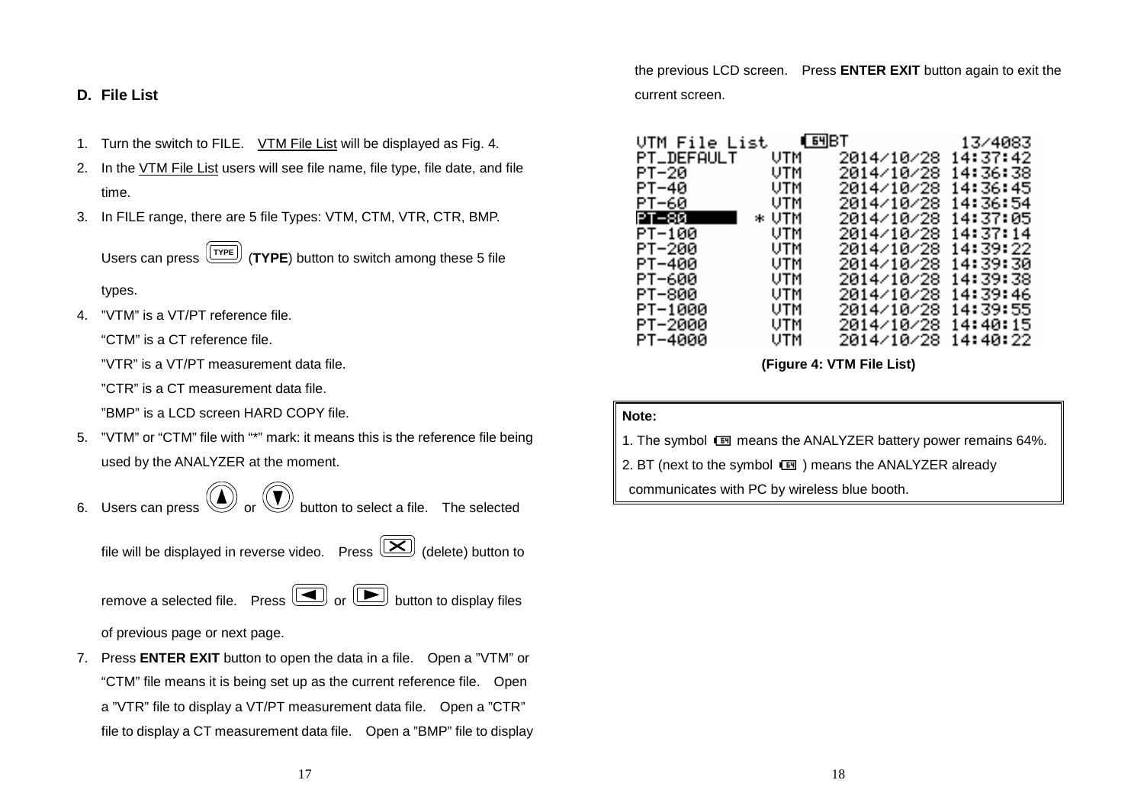**D. File List** 

- 1. Turn the switch to FILE. VTM File List will be displayed as Fig. 4.
- 2. In the VTM File List users will see file name, file type, file date, and file time.
- 3. In FILE range, there are 5 file Types: VTM, CTM, VTR, CTR, BMP.

Users can press **TYPE** (**TYPE**) button to switch among these 5 file

types.

4. "VTM" is a VT/PT reference file.

"CTM" is a CT reference file.

"VTR" is a VT/PT measurement data file.

"CTR" is a CT measurement data file.

"BMP" is a LCD screen HARD COPY file.

5. "VTM" or "CTM" file with "\*" mark: it means this is the reference file being used by the ANALYZER at the moment.

Users can press  $\circled{C}$  or  $\circled{C}$  button to select a file. The selected

file will be displayed in reverse video. Press  $\left(\sum\right)$  (delete) button to

remove a selected file. Press  $\boxed{\blacksquare}$  or  $\boxed{\blacktriangleright}$  button to display files

of previous page or next page.

7. Press **ENTER EXIT** button to open the data in a file. Open a "VTM" or "CTM" file means it is being set up as the current reference file. Open a "VTR" file to display a VT/PT measurement data file. Open a "CTR" file to display a CT measurement data file. Open a "BMP" file to display the previous LCD screen. Press **ENTER EXIT** button again to exit the current screen.

| VTM File List | <b>TEMBT</b> |            | 13/4083  |
|---------------|--------------|------------|----------|
| PT_DEFAULT    | UTM          | 2014/10/28 | 14:37:42 |
| РТ-20.        | UTM          | 2014/10/28 | 14:36:38 |
| РТ-40         | UTM          | 2014/10/28 | 14:36:45 |
| PT-60         | UTM          | 2014/10/28 | 14:36:54 |
| PT-80 -       | * UTM        | 2014/10/28 | 14:37:05 |
| PT-100        | UTM          | 2014/10/28 | 14:37:14 |
| PT-200        | UTM          | 2014/10/28 | 14:39:22 |
| PT-400        | UTM          | 2014/10/28 | 14:39:30 |
| РТ-600        | UTM          | 2014/10/28 | 14:39:38 |
| РТ-800        | UTM          | 2014/10/28 | 14:39:46 |
| PT-1000       | UTM          | 2014/10/28 | 14:39:55 |
| PT-2000       | UTM          | 2014/10/28 | 14:40:15 |
| РТ-4000       | UTM          | 2014/10/28 | 14:40:22 |

**(Figure 4: VTM File List)** 

#### **Note:**

1. The symbol II means the ANALYZER battery power remains 64%.

2. BT (next to the symbol III ) means the ANALYZER already

communicates with PC by wireless blue booth.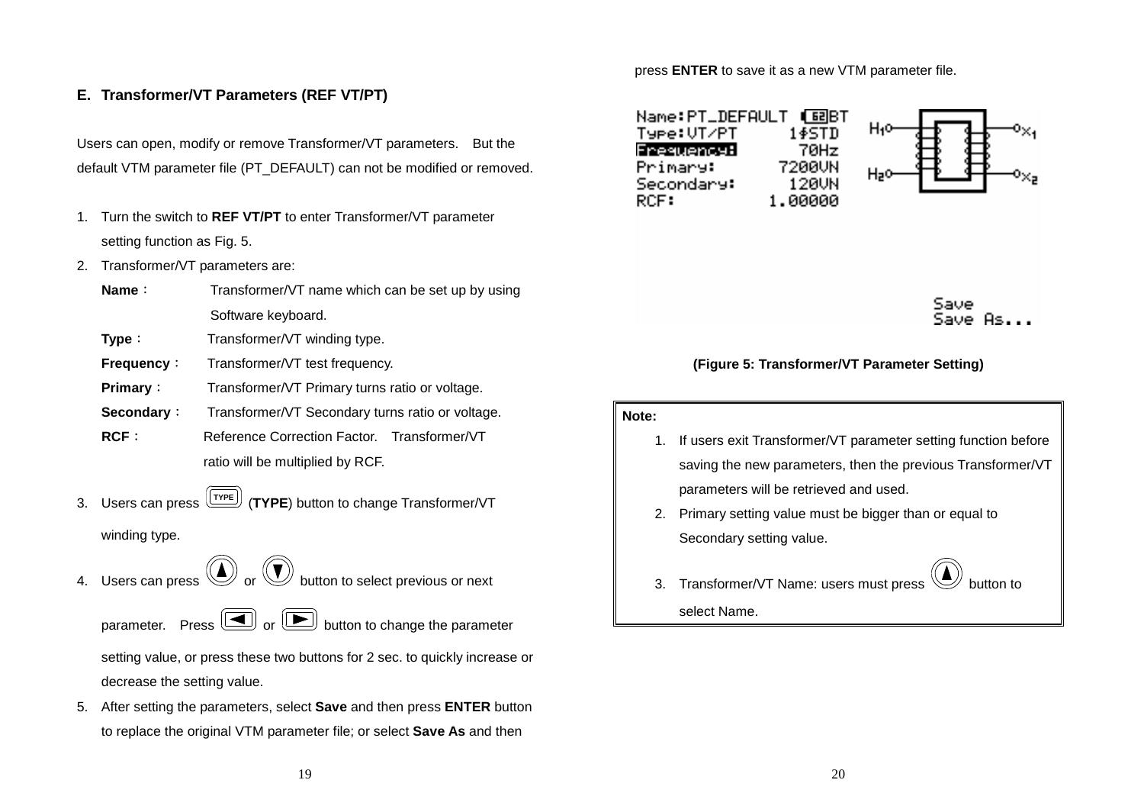# **E. Transformer/VT Parameters (REF VT/PT)**

Users can open, modify or remove Transformer/VT parameters. But the default VTM parameter file (PT\_DEFAULT) can not be modified or removed.

- 1. Turn the switch to **REF VT/PT** to enter Transformer/VT parameter setting function as Fig. 5.
- 2. Transformer/VT parameters are:
	- **Name**: Transformer/VT name which can be set up by using Software keyboard.
	- **Type**: Transformer/VT winding type.
	- **Frequency:** Transformer/VT test frequency.
	- **Primary:** Transformer/VT Primary turns ratio or voltage.
	- **Secondary**: Transformer/VT Secondary turns ratio or voltage.
	- **RCF**: Reference Correction Factor. Transformer/VT ratio will be multiplied by RCF.
- 3. Users can press **TYPE** (**TYPE**) button to change Transformer/VT winding type.
- 4. Users can press  $\textcircled{\bigcirc}$  or  $\textcircled{\bigcirc}$  button to select previous or next

parameter. Press  $\boxed{\blacksquare}$  or  $\boxed{\blacktriangleright}$  button to change the parameter setting value, or press these two buttons for 2 sec. to quickly increase or decrease the setting value.

5. After setting the parameters, select **Save** and then press **ENTER** button to replace the original VTM parameter file; or select **Save As** and then

press **ENTER** to save it as a new VTM parameter file.



Save Saue As

### **(Figure 5: Transformer/VT Parameter Setting)**

#### **Note:**

- 1. If users exit Transformer/VT parameter setting function before saving the new parameters, then the previous Transformer/VT parameters will be retrieved and used.
- 2. Primary setting value must be bigger than or equal to Secondary setting value.

3. Transformer/VT Name: users must press

select Name.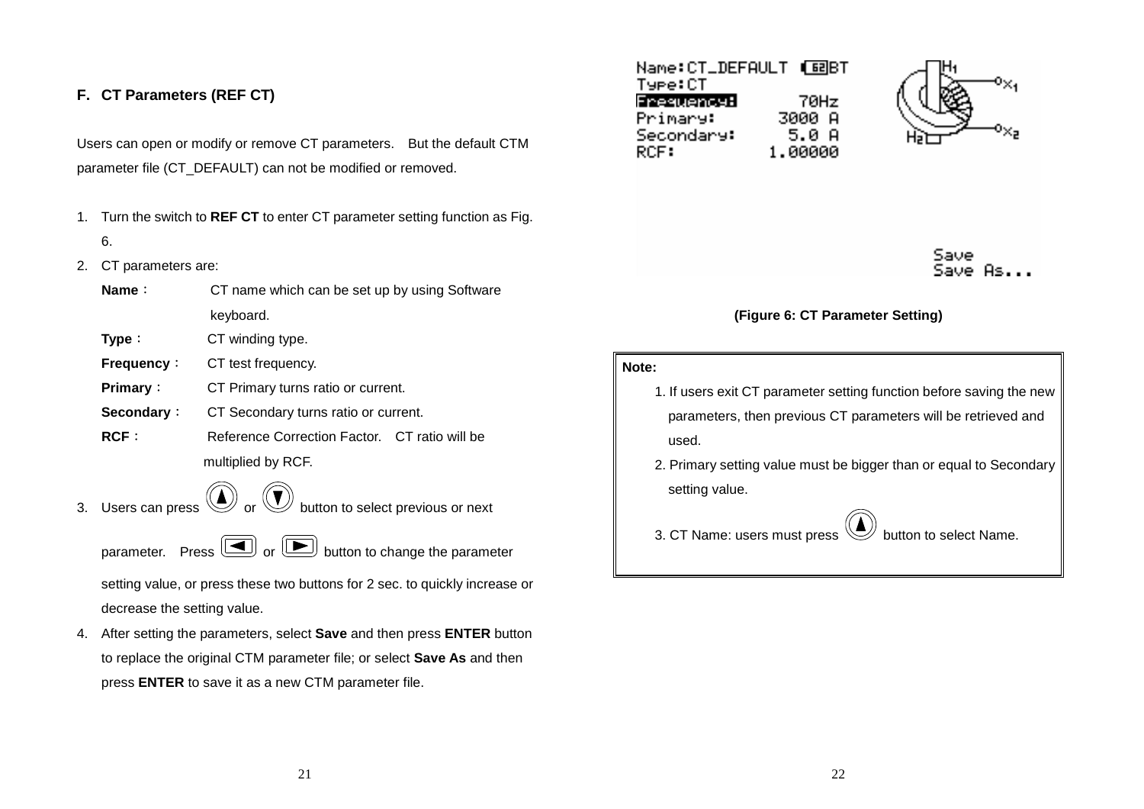# **F. CT Parameters (REF CT)**

Users can open or modify or remove CT parameters. But the default CTM parameter file (CT\_DEFAULT) can not be modified or removed.

- 1. Turn the switch to **REF CT** to enter CT parameter setting function as Fig. 6.
- 2. CT parameters are:

| <b>Name</b> : | CT name which can be set up by using Software |
|---------------|-----------------------------------------------|
|               | keyboard.                                     |

- **Type**: CT winding type.
- **Frequency:** CT test frequency.
- **Primary**: CT Primary turns ratio or current.
- **Secondary**: CT Secondary turns ratio or current.
- **RCF**: Reference Correction Factor. CT ratio will be multiplied by RCF.
- 3. Users can press  $\textcircled{\bigcup}$  or  $\textcircled{\bigcup}$  button to select previous or next
	-

parameter. Press  $\boxed{\blacksquare}$  or  $\boxed{\blacktriangleright}$  button to change the parameter

setting value, or press these two buttons for 2 sec. to quickly increase or decrease the setting value.

4. After setting the parameters, select **Save** and then press **ENTER** button to replace the original CTM parameter file; or select **Save As** and then press **ENTER** to save it as a new CTM parameter file.

| Type:CT    |         |
|------------|---------|
| Frequency: | 70Hz    |
| Primary:   | 3000 A  |
| Secondary: | 5.0 A   |
| RCF:       | 1.00000 |





## **(Figure 6: CT Parameter Setting)**

#### **Note:**

- 1. If users exit CT parameter setting function before saving the newparameters, then previous CT parameters will be retrieved and used.
- 2. Primary setting value must be bigger than or equal to Secondarysetting value.

3. CT Name: users must press  $\mathbb{C}$  button to select Name.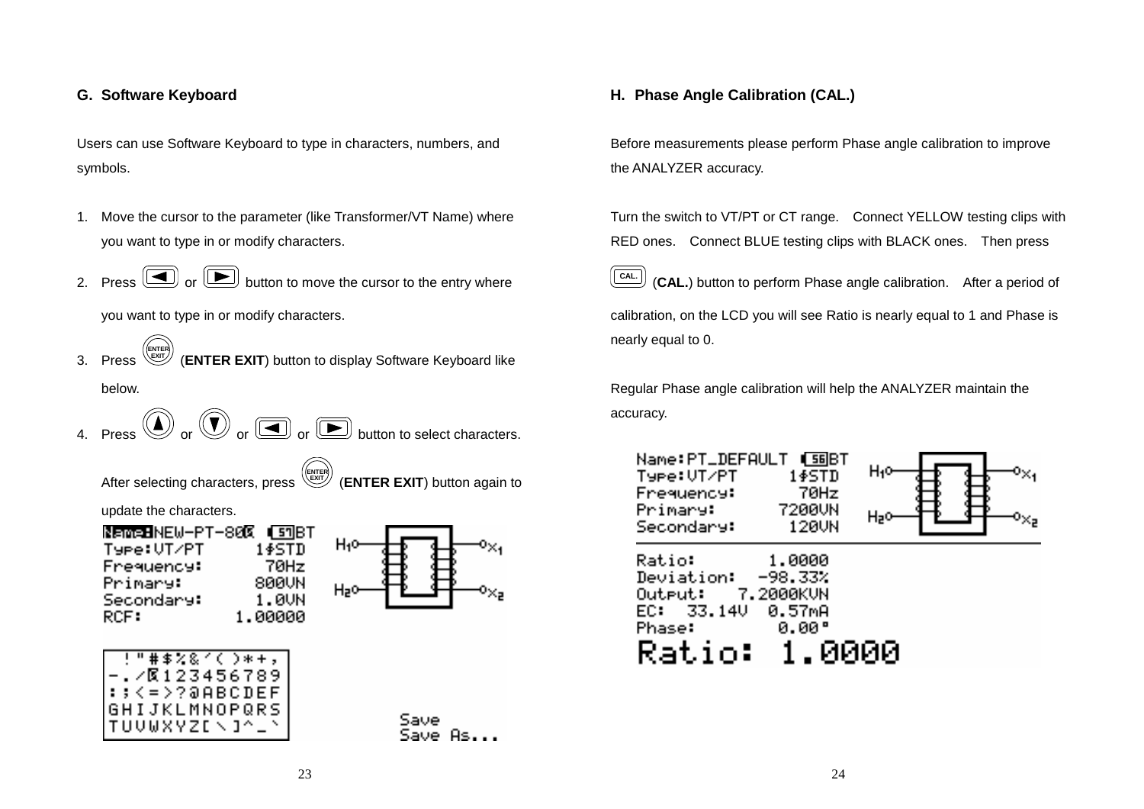# **G. Software Keyboard**

Users can use Software Keyboard to type in characters, numbers, and symbols.

- 1. Move the cursor to the parameter (like Transformer/VT Name) where you want to type in or modify characters.
- 2. Press  $\cup$  or button to move the cursor to the entry where

you want to type in or modify characters.

- 3. Press **ENTER EXIT** (**ENTER EXIT**) button to display Software Keyboard like below.
- Press  $\circled{1}$  or  $\circled{2}$  or  $\circled{3}$  or  $\circled{4}$  button to select characters.

**ENTER EXIT**

After selecting characters, press

(**ENTER EXIT**) button again to

update the characters.

| NameBNEW-PT-80 <b>0 (</b> s¶BT |         |
|--------------------------------|---------|
| Type:UT/PT                     | 1\$STD  |
| Frequency:                     | 70Hz    |
| Primary:                       | 800UN   |
| Secondary:                     | 1 . AUN |
| RCF:                           | 1.00000 |
|                                |         |



|                      | !"井事名&イ(つ*+。  |  |  |  |  |  |
|----------------------|---------------|--|--|--|--|--|
|                      | . 20123456789 |  |  |  |  |  |
| ::<=>?@ABCDEF        |               |  |  |  |  |  |
| <b>GHIJKLMNOPQRS</b> |               |  |  |  |  |  |
| TUUWXYZENJ^          |               |  |  |  |  |  |
|                      |               |  |  |  |  |  |

Save

## **H. Phase Angle Calibration (CAL.)**

Before measurements please perform Phase angle calibration to improve the ANALYZER accuracy.

Turn the switch to VT/PT or CT range. Connect YELLOW testing clips with RED ones. Connect BLUE testing clips with BLACK ones. Then press

**CAL.** (**CAL.**) button to perform Phase angle calibration. After a period of calibration, on the LCD you will see Ratio is nearly equal to 1 and Phase is nearly equal to 0.

Regular Phase angle calibration will help the ANALYZER maintain the accuracy.

| Type:UT/PT<br><b>Frequency:</b><br>Primary:<br>Secondary:                              | 1\$STD<br>70Hz<br>7200UN<br>120UN      | Hı¤  |  |
|----------------------------------------------------------------------------------------|----------------------------------------|------|--|
| Ratio:<br>Deviation: The<br>Output: 7.2000KUN<br>EC: 33.14U<br><b>Phase:</b><br>Ratio: | 1.0000<br>$-98.33%$<br>0.57mA<br>0.00° | ииии |  |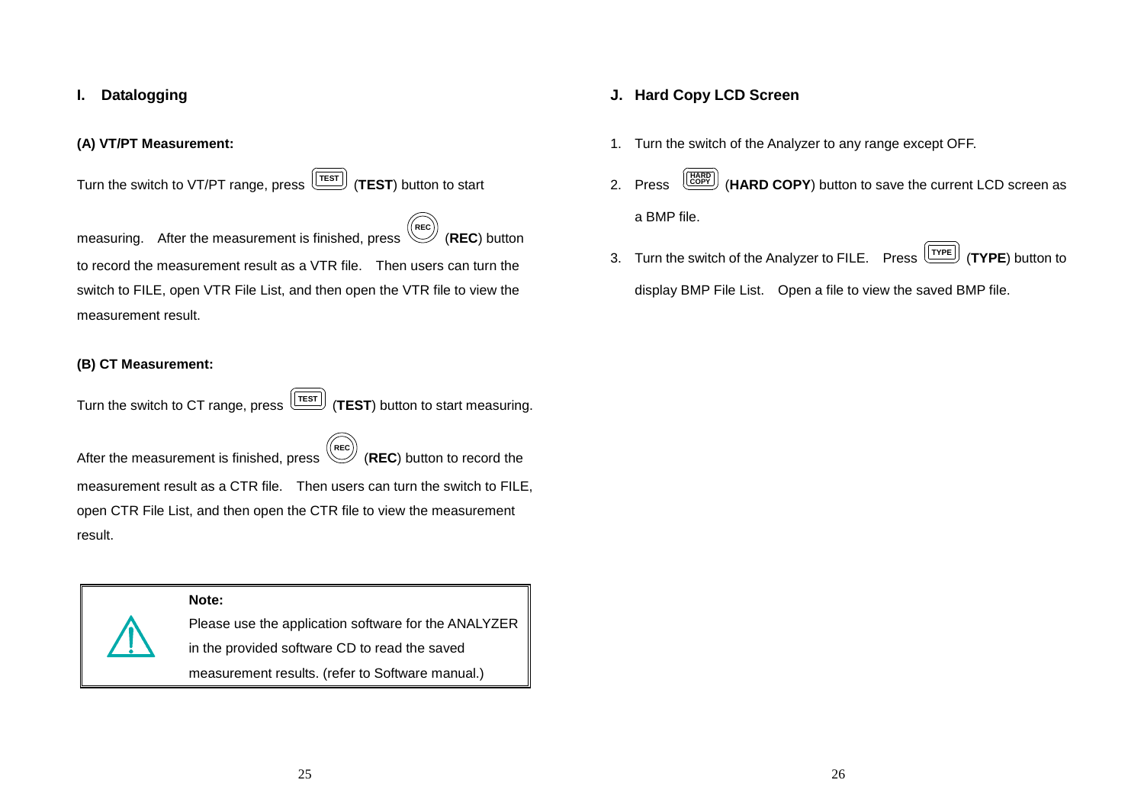## **I. Datalogging**

#### **(A) VT/PT Measurement:**

Turn the switch to VT/PT range, press  $\sqrt{\text{TEST}}$  (TEST) button to start

measuring. After the measurement is finished, press **REC**(**REC**) button to record the measurement result as a VTR file. Then users can turn the switch to FILE, open VTR File List, and then open the VTR file to view the measurement result.

### **(B) CT Measurement:**

Turn the switch to CT range, press  $\boxed{\text{[TEST]}}$  (TEST) button to start measuring.

After the measurement is finished, press **REC** (**REC**) button to record the measurement result as a CTR file. Then users can turn the switch to FILE, open CTR File List, and then open the CTR file to view the measurement result.

# **Note:**

Please use the application software for the ANALYZER in the provided software CD to read the saved measurement results. (refer to Software manual.)

### **J. Hard Copy LCD Screen**

- 1. Turn the switch of the Analyzer to any range except OFF.
- 2. Press **HARD** (**HARD COPY**) button to save the current LCD screen as a BMP file.
- 3. Turn the switch of the Analyzer to FILE. Press **TYPE** (**TYPE**) button to

display BMP File List. Open a file to view the saved BMP file.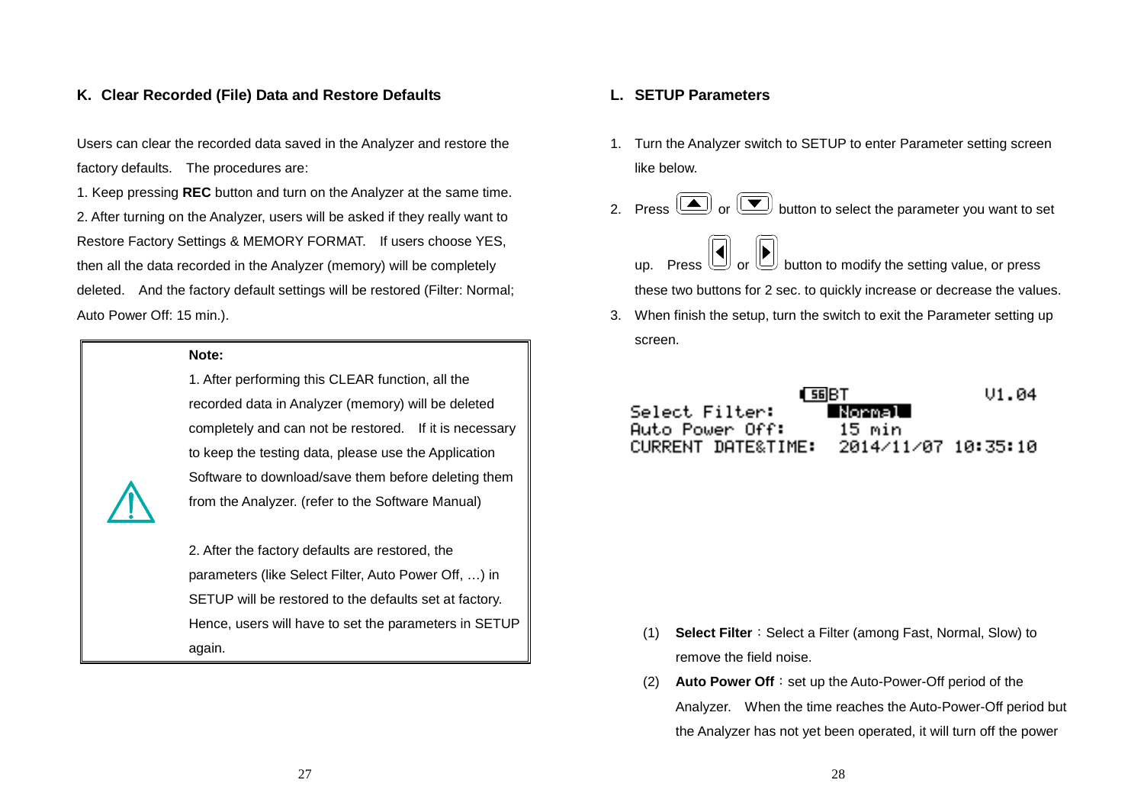### **K. Clear Recorded (File) Data and Restore Defaults**

Users can clear the recorded data saved in the Analyzer and restore the factory defaults. The procedures are:

1. Keep pressing **REC** button and turn on the Analyzer at the same time. 2. After turning on the Analyzer, users will be asked if they really want to Restore Factory Settings & MEMORY FORMAT. If users choose YES, then all the data recorded in the Analyzer (memory) will be completely deleted. And the factory default settings will be restored (Filter: Normal; Auto Power Off: 15 min.).

#### **Note:**

1. After performing this CLEAR function, all the recorded data in Analyzer (memory) will be deleted completely and can not be restored. If it is necessary to keep the testing data, please use the Application Software to download/save them before deleting themfrom the Analyzer. (refer to the Software Manual)

2. After the factory defaults are restored, the parameters (like Select Filter, Auto Power Off, …) in SETUP will be restored to the defaults set at factory. Hence, users will have to set the parameters in SETUP again.

#### **L. SETUP Parameters**

- 1. Turn the Analyzer switch to SETUP to enter Parameter setting screen like below.
- 2. Press  $\circled{2}$  or  $\circled{3}$  button to select the parameter you want to set
- up. Press  $\cup$  or  $\cup$  button to modify the setting value, or press these two buttons for 2 sec. to quickly increase or decrease the values. 3. When finish the setup, turn the switch to exit the Parameter setting up screen.

| I SGIBT            | $VI$ .04            |  |
|--------------------|---------------------|--|
| Select Filter:     | -Normal -           |  |
| Auto Power Off:    | 15 min              |  |
| CURRENT DATE&TIME: | 2014/11/07 10:35:10 |  |

- (1) **Select Filter**:Select a Filter (among Fast, Normal, Slow) to remove the field noise.
- (2) **Auto Power Off**:set up the Auto-Power-Off period of the Analyzer. When the time reaches the Auto-Power-Off period but the Analyzer has not yet been operated, it will turn off the power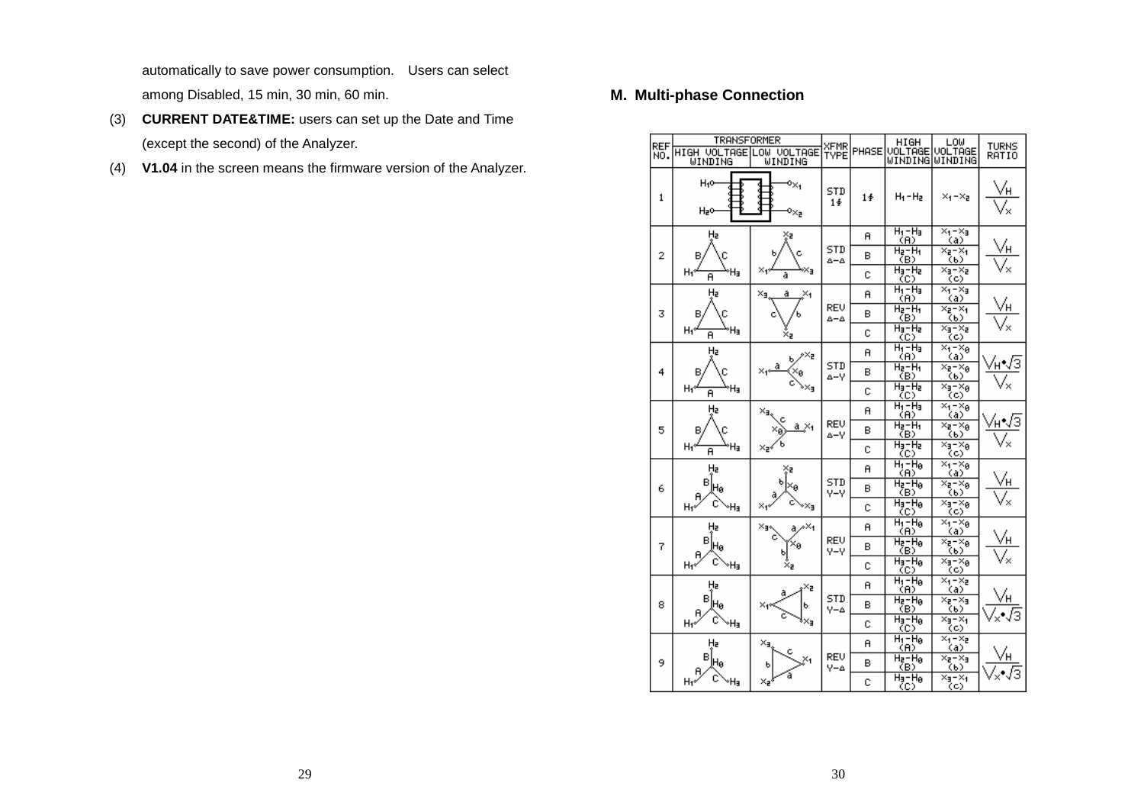automatically to save power consumption. Users can select among Disabled, 15 min, 30 min, 60 min.

- (3) **CURRENT DATE&TIME:** users can set up the Date and Time (except the second) of the Analyzer.
- (4) **V1.04** in the screen means the firmware version of the Analyzer.

# **M. Multi-phase Connection**

| REF<br>NO.     | TRANSFORMER<br>HIGH VOLTAGE LOW VOLTAGE<br>WINDING | WINDING                | XFMR<br>TYPE |                                        | HIGH<br>PHASE VOLTAGE<br><b>WINDINGWINDING</b> | ∟o⊌<br>VOLTAGE                          | <b>TURNS</b><br>RATIO |  |
|----------------|----------------------------------------------------|------------------------|--------------|----------------------------------------|------------------------------------------------|-----------------------------------------|-----------------------|--|
| $\mathbf{1}$   | H10<br>H2O                                         | o <sub>×1</sub><br>∍×, | STD<br>1∳    | $1\ddot{\Phi}$                         | $H_1 - H_2$                                    | $x_1 - x_2$                             | /H                    |  |
|                | Hz                                                 | ×₽                     |              | я                                      | $H_1 - H_3$<br>(A)                             | $x_4 - x_3$<br>(a)                      |                       |  |
| $\overline{2}$ | в                                                  |                        | STD<br>۵-۵   | в                                      | $H_2 - H_1$<br>(B)                             | ×e−×i<br>(6)                            | vн                    |  |
|                | H۴<br>Ήэ<br>A                                      | ׹<br>a                 |              | с                                      | $H_3-H_2$<br>(C)                               | ×a−×a<br>(c)                            | $^{\times}$           |  |
|                | Hz                                                 | ×,<br>a                |              | я                                      | $H_1 - H_3$<br>(A)                             | ×4–×a<br>(a)                            |                       |  |
| 3              | в                                                  |                        | REV<br>۵-۵   | в                                      | H2-H1<br>(B)                                   | ×a−×i<br>(b)                            |                       |  |
|                | ٠Ha<br>H٢<br>A                                     | ׹                      |              | c                                      | $H_3-H_2$<br>(C)                               | ×a−×a<br>(C)                            |                       |  |
|                | Hz                                                 | ⊴×۶                    |              | Ĥ                                      | $H_1 - H_3$<br>(A)                             | $x_1 - x_8$<br>(a)                      |                       |  |
| 4              | в<br>Χø                                            | STD<br>Δ-V             | в            | $H_2-H_1$<br>(B)                       | ×a−×a<br>(6)                                   |                                         |                       |  |
|                | H۰<br>Ήa<br>A                                      | ∍×⊧                    |              |                                        | Ć                                              | $H_3-H_2$<br>(C)                        | ×a−×a<br>(C)          |  |
|                | Hz<br>×g,<br>×.<br>a.<br>В.                        |                        |              | я                                      | $H_1 - H_3$<br>(A)                             | $\times_1 - \times_8$<br>(a)            |                       |  |
| 5              |                                                    | REV<br>∆–∨             | в            | $H_2 - H_1$<br>(B)                     | × <sub>z</sub> −× <sub>ø</sub><br>(b)          |                                         |                       |  |
|                | Нı°<br>۴ŀ<br>A                                     | ×⊋∢                    |              | C                                      | $H_3-H_2$<br>(C)                               | ×a−×a<br>(c)                            |                       |  |
|                | Hz                                                 | ×₹                     |              | A                                      | $H_1$ - $H_8$<br>(A)                           | $\overline{x}_1 - x_8$<br>(a)           |                       |  |
| 6              | в<br>Hø                                            | ь<br>Χg                | STD<br>v-v   | в                                      | $H_2-H_8$<br>(B)                               | ×a−×ø<br>(b)                            | √Н                    |  |
|                | H۰<br>۰Ha                                          | ×۴<br>∘×∍              |              | c                                      | Ha-Ha<br>(C)                                   | ×a−×a<br>(C)                            | $\times$              |  |
|                | Hz                                                 | ×∍<br>^Х4<br>a.        |              | я                                      | $H_1 - H_B$<br>(A)                             | $\overline{\times_1} - \times_8$<br>(a) |                       |  |
| 7              | в<br>Hø                                            | ×ø                     | REV.<br>Y-Y  | в                                      | $H_2-H_8$<br>(B)                               | × <sub>2</sub> −× <sub>β</sub><br>(b)   | √н                    |  |
|                | H1*<br>۰Ha                                         | ×ε                     |              | c                                      | $H_3 - H_8$<br>(C)                             | ×a−×ø<br>(c)                            |                       |  |
|                | Hz<br>×z                                           |                        | я            | $H_1 - H_8$<br>(A)                     | × <sub>1</sub> – ×2<br>(a)                     |                                         |                       |  |
| 8              | в<br>ŀHθ<br>я                                      | ×.<br>ь                | STD<br>Y-4   | в                                      | Ha-Ha<br>(B)                                   | ×e−×a<br>(b)                            |                       |  |
|                | с<br>H1º<br>۰Ha                                    | ×∍                     |              | c                                      | $H_3 - H_8$<br>(C)                             | Xa-Xa<br>(C)                            |                       |  |
|                | Hz                                                 | ×a                     |              | я                                      | $H_1 - H_B$<br>(A)                             | ×1−×2<br><u>(a)</u>                     |                       |  |
| 9              | в<br>Hø                                            | ь                      | REV<br>Y-A   | в                                      | Ha-Ha<br>(B)                                   | Xa-Xa<br>(b)                            |                       |  |
|                | H۴<br>×z<br>٠Ha                                    |                        | c            | $\overline{H_3}-\overline{H_8}$<br>(C) | ×a–×i<br>(c)                                   |                                         |                       |  |

29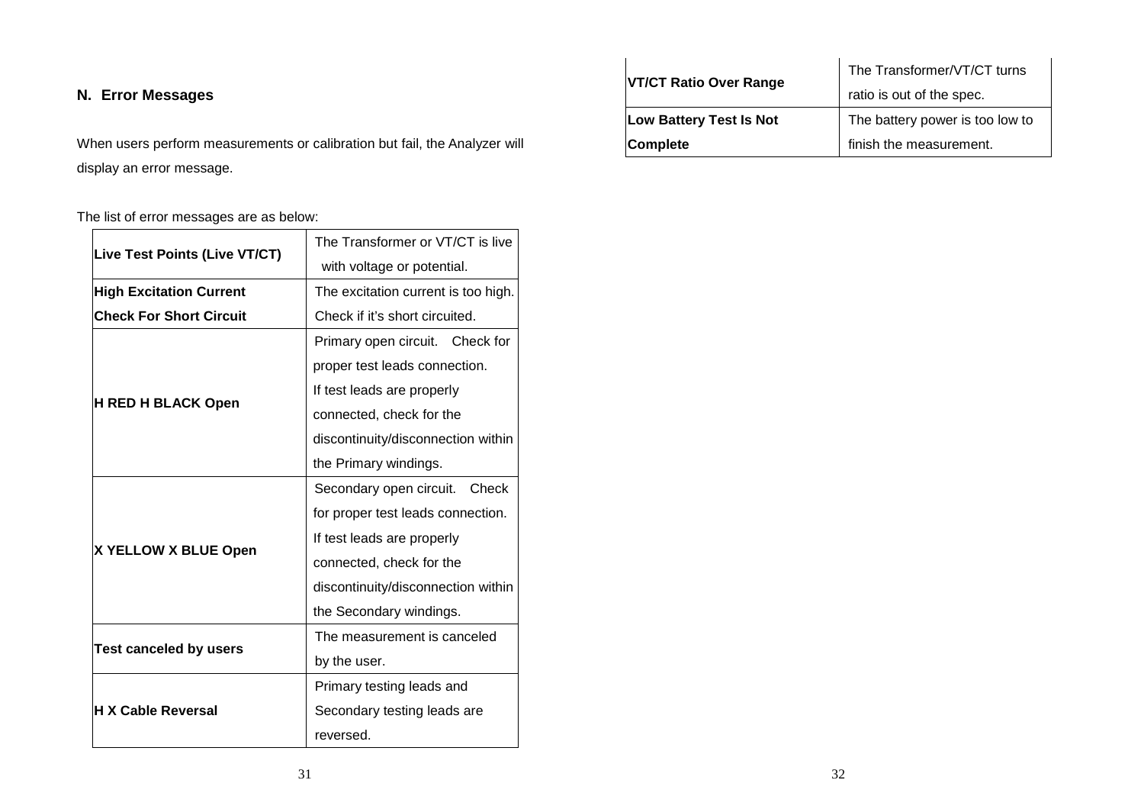# **N. Error Messages**

When users perform measurements or calibration but fail, the Analyzer will display an error message.

The list of error messages are as below:

| Live Test Points (Live VT/CT)  | The Transformer or VT/CT is live    |  |
|--------------------------------|-------------------------------------|--|
|                                | with voltage or potential.          |  |
| <b>High Excitation Current</b> | The excitation current is too high. |  |
| <b>Check For Short Circuit</b> | Check if it's short circuited.      |  |
| <b>H RED H BLACK Open</b>      | Primary open circuit. Check for     |  |
|                                | proper test leads connection.       |  |
|                                | If test leads are properly          |  |
|                                | connected, check for the            |  |
|                                | discontinuity/disconnection within  |  |
|                                | the Primary windings.               |  |
| X YELLOW X BLUE Open           | Secondary open circuit. Check       |  |
|                                | for proper test leads connection.   |  |
|                                | If test leads are properly          |  |
|                                | connected, check for the            |  |
|                                | discontinuity/disconnection within  |  |
|                                | the Secondary windings.             |  |
| <b>Test canceled by users</b>  | The measurement is canceled         |  |
|                                | by the user.                        |  |
| <b>H X Cable Reversal</b>      | Primary testing leads and           |  |
|                                | Secondary testing leads are         |  |
|                                | reversed.                           |  |

| <b>VT/CT Ratio Over Range</b>  | The Transformer/VT/CT turns     |  |
|--------------------------------|---------------------------------|--|
|                                | ratio is out of the spec.       |  |
| <b>Low Battery Test Is Not</b> | The battery power is too low to |  |
| <b>Complete</b>                | finish the measurement.         |  |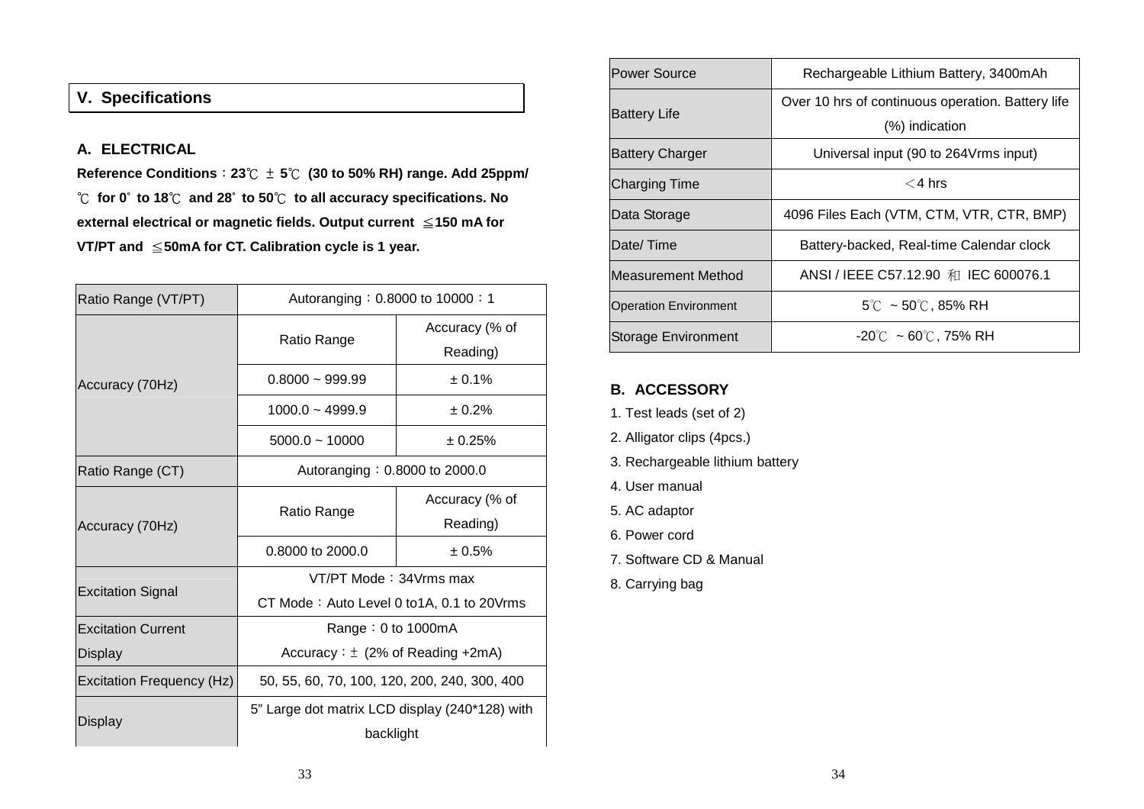# **V. Specifications**

# **A. ELECTRICAL**

**Reference Conditions**:**23**℃ <sup>±</sup> **5**℃ **(30 to 50% RH) range. Add 25ppm/** ℃ **for 0**° **to 18**℃ **and 28**° **to 50**℃ **to all accuracy specifications. No external electrical or magnetic fields. Output current** ≦**150 mA for VT/PT and** ≦**50mA for CT. Calibration cycle is 1 year.** 

| Ratio Range (VT/PT)       | Autoranging: 0.8000 to 10000: 1                |                |  |
|---------------------------|------------------------------------------------|----------------|--|
| Accuracy (70Hz)           | Ratio Range                                    | Accuracy (% of |  |
|                           |                                                | Reading)       |  |
|                           | $0.8000 - 999.99$                              | ± 0.1%         |  |
|                           | $1000.0 - 4999.9$                              | ± 0.2%         |  |
|                           | $5000.0 - 10000$                               | ± 0.25%        |  |
| Ratio Range (CT)          | Autoranging: 0.8000 to 2000.0                  |                |  |
| Accuracy (70Hz)           | Ratio Range                                    | Accuracy (% of |  |
|                           |                                                | Reading)       |  |
|                           | 0.8000 to 2000.0                               | ± 0.5%         |  |
| <b>Excitation Signal</b>  | VT/PT Mode: 34Vrms max                         |                |  |
|                           | CT Mode: Auto Level 0 to 1A, 0.1 to 20 Vrms    |                |  |
| <b>Excitation Current</b> | Range: $0$ to 1000mA                           |                |  |
| Display                   | Accuracy: $\pm$ (2% of Reading +2mA)           |                |  |
| Excitation Frequency (Hz) | 50, 55, 60, 70, 100, 120, 200, 240, 300, 400   |                |  |
| Display                   | 5" Large dot matrix LCD display (240*128) with |                |  |
|                           | backlight                                      |                |  |

| <b>Power Source</b>          | Rechargeable Lithium Battery, 3400mAh             |  |
|------------------------------|---------------------------------------------------|--|
| <b>Battery Life</b>          | Over 10 hrs of continuous operation. Battery life |  |
|                              | (%) indication                                    |  |
| <b>Battery Charger</b>       | Universal input (90 to 264Vrms input)             |  |
| <b>Charging Time</b>         | $<$ 4 hrs                                         |  |
| Data Storage                 | 4096 Files Each (VTM, CTM, VTR, CTR, BMP)         |  |
| Date/Time                    | Battery-backed, Real-time Calendar clock          |  |
| Measurement Method           | ANSI / IEEE C57.12.90 和 IEC 600076.1              |  |
| <b>Operation Environment</b> | $5^{\circ}$ C ~ 50 $^{\circ}$ C, 85% RH           |  |
| <b>Storage Environment</b>   | $-20^{\circ}$ C ~ 60 $^{\circ}$ C, 75% RH         |  |

# **B. ACCESSORY**

- 1. Test leads (set of 2)
- 2. Alligator clips (4pcs.)
- 3. Rechargeable lithium battery
- 4. User manual
- 5. AC adaptor
- 6. Power cord
- 7. Software CD & Manual
- 8. Carrying bag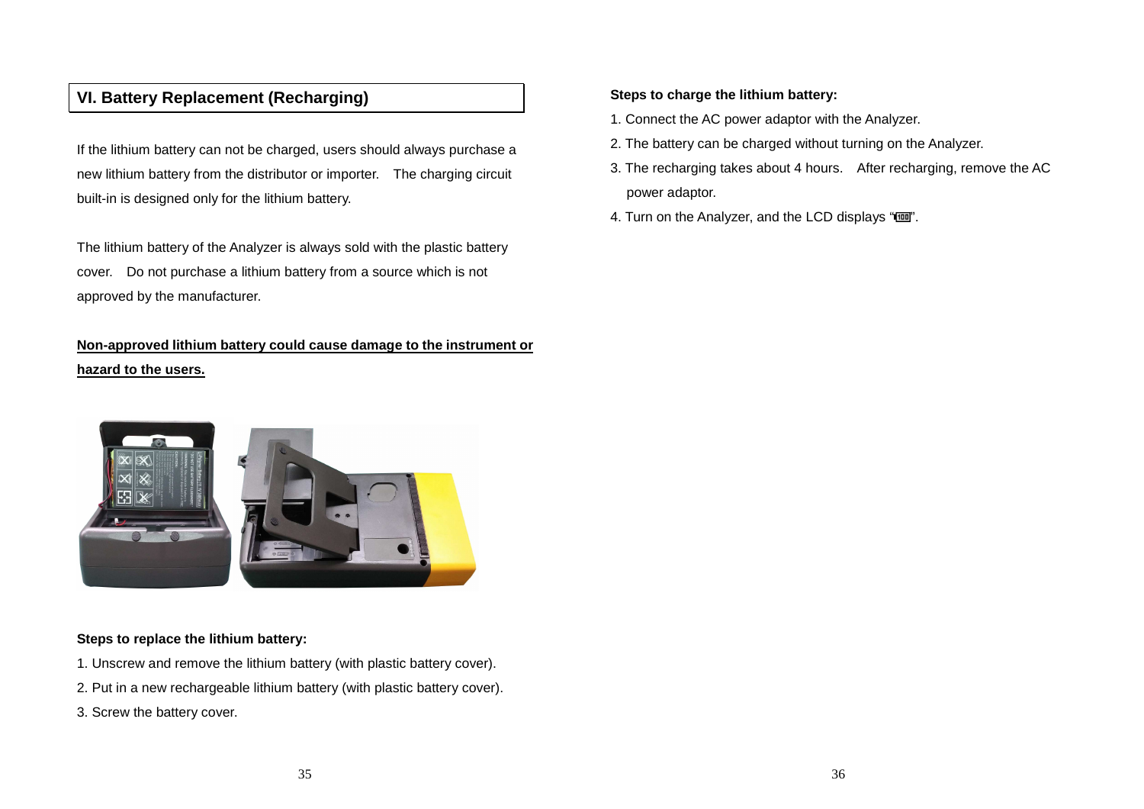# **VI. Battery Replacement (Recharging)**

If the lithium battery can not be charged, users should always purchase a new lithium battery from the distributor or importer. The charging circuit built-in is designed only for the lithium battery.

The lithium battery of the Analyzer is always sold with the plastic battery cover. Do not purchase a lithium battery from a source which is not approved by the manufacturer.

# **Non-approved lithium battery could cause damage to the instrument or hazard to the users.**



# **Steps to replace the lithium battery:**

- 1. Unscrew and remove the lithium battery (with plastic battery cover).
- 2. Put in a new rechargeable lithium battery (with plastic battery cover).
- 3. Screw the battery cover.

### **Steps to charge the lithium battery:**

- 1. Connect the AC power adaptor with the Analyzer.
- 2. The battery can be charged without turning on the Analyzer.
- 3. The recharging takes about 4 hours. After recharging, remove the AC power adaptor.
- 4. Turn on the Analyzer, and the LCD displays "".